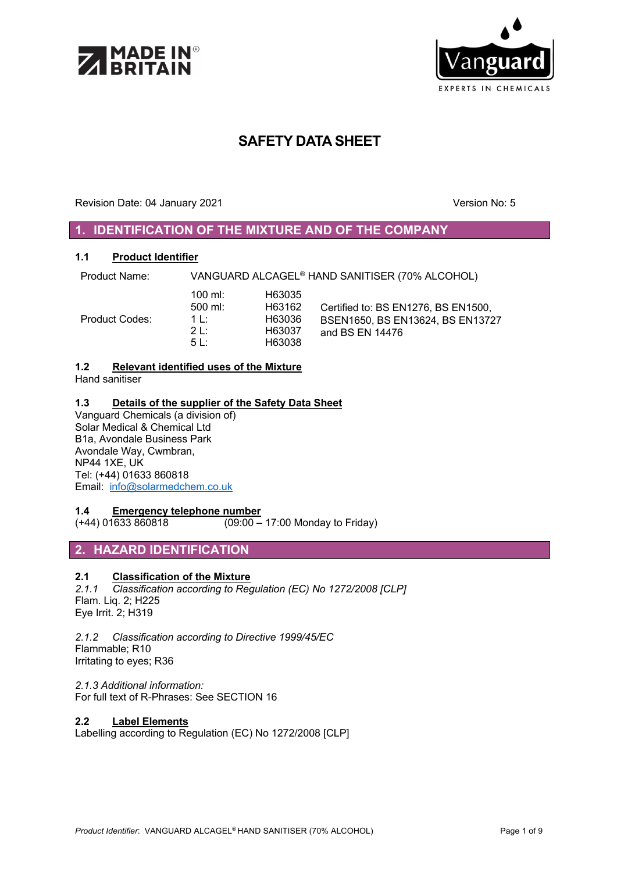



# **SAFETY DATA SHEET**

Revision Date: 04 January 2021 Version No: 5

# **1. IDENTIFICATION OF THE MIXTURE AND OF THE COMPANY**

### **1.1 Product Identifier**

Product Name: VANGUARD ALCAGEL® HAND SANITISER (70% ALCOHOL)

| Product Codes: | $100 \text{ mi}$ :<br>$500$ ml:<br>$1 \cdot$ | H63035<br>H63162<br>H63036 | Certified to: BS EN1276, BS EN1500,<br>BSEN1650, BS EN13624, BS EN13727 |
|----------------|----------------------------------------------|----------------------------|-------------------------------------------------------------------------|
|                | 21                                           | H63037                     | and BS EN 14476                                                         |
|                | 5 I ·                                        | H63038                     |                                                                         |

### **1.2 Relevant identified uses of the Mixture**

Hand sanitiser

### **1.3 Details of the supplier of the Safety Data Sheet**

Vanguard Chemicals (a division of) Solar Medical & Chemical Ltd B1a, Avondale Business Park Avondale Way, Cwmbran, NP44 1XE, UK Tel: (+44) 01633 860818 Email: info@solarmedchem.co.uk

### **1.4 Emergency telephone number**

(+44) 01633 860818 (09:00 – 17:00 Monday to Friday)

### **2. HAZARD IDENTIFICATION**

### **2.1 Classification of the Mixture**

*2.1.1 Classification according to Regulation (EC) No 1272/2008 [CLP]* Flam. Liq. 2; H225 Eye Irrit. 2; H319

*2.1.2 Classification according to Directive 1999/45/EC* Flammable; R10 Irritating to eyes; R36

*2.1.3 Additional information:* For full text of R-Phrases: See SECTION 16

### **2.2 Label Elements**

Labelling according to Regulation (EC) No 1272/2008 [CLP]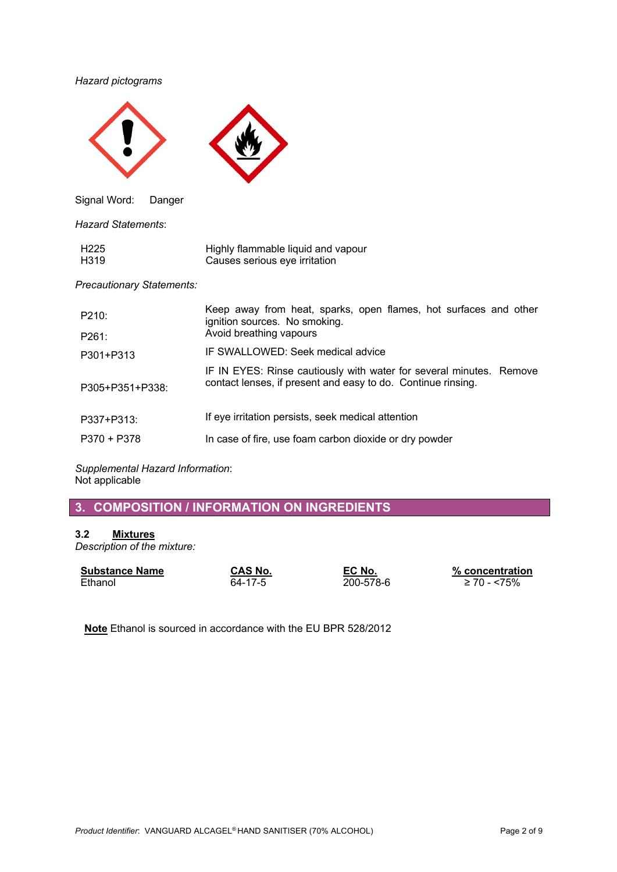### *Hazard pictograms*



Signal Word: Danger

*Hazard Statements*:

| H225 | Highly flammable liquid and vapour |
|------|------------------------------------|
| H319 | Causes serious eye irritation      |

*Precautionary Statements:*

| P210:           | Keep away from heat, sparks, open flames, hot surfaces and other<br>ignition sources. No smoking.                                   |
|-----------------|-------------------------------------------------------------------------------------------------------------------------------------|
| P261:           | Avoid breathing vapours                                                                                                             |
| P301+P313       | IF SWALLOWED: Seek medical advice                                                                                                   |
| P305+P351+P338: | IF IN EYES: Rinse cautiously with water for several minutes. Remove<br>contact lenses, if present and easy to do. Continue rinsing. |
| P337+P313:      | If eye irritation persists, seek medical attention                                                                                  |
| P370 + P378     | In case of fire, use foam carbon dioxide or dry powder                                                                              |

*Supplemental Hazard Information*: Not applicable

**3. COMPOSITION / INFORMATION ON INGREDIENTS**

### **3.2 Mixtures**

*Description of the mixture:*

| <b>Substance Name</b> | <b>CAS No.</b> | EC No.    | $\%$ concentration |
|-----------------------|----------------|-----------|--------------------|
| Ethanol               | 64-17-5        | 200-578-6 | ≥ 70 - <75%        |

**Note** Ethanol is sourced in accordance with the EU BPR 528/2012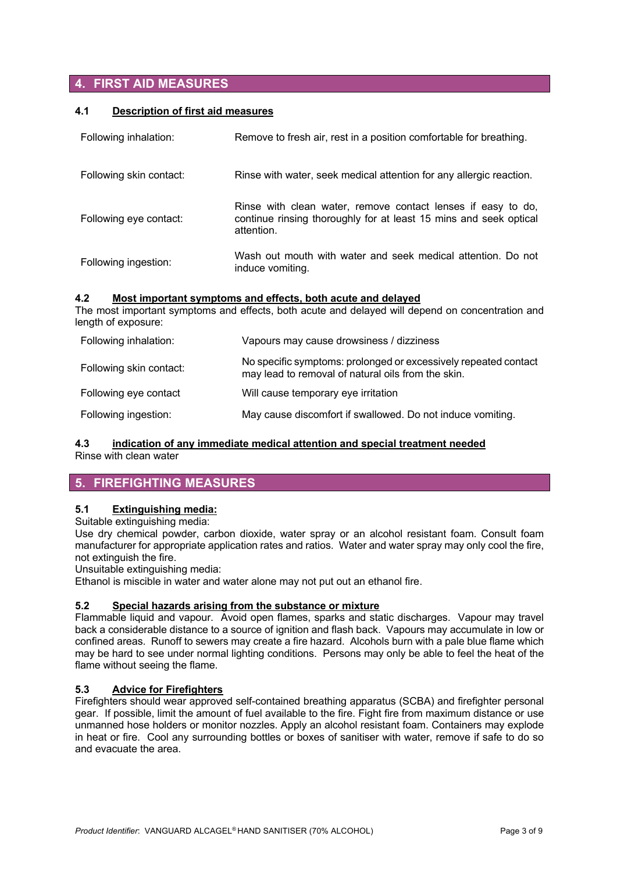# **4. FIRST AID MEASURES**

### **4.1 Description of first aid measures**

| Following inhalation:   | Remove to fresh air, rest in a position comfortable for breathing.                                                                              |
|-------------------------|-------------------------------------------------------------------------------------------------------------------------------------------------|
| Following skin contact: | Rinse with water, seek medical attention for any allergic reaction.                                                                             |
| Following eye contact:  | Rinse with clean water, remove contact lenses if easy to do,<br>continue rinsing thoroughly for at least 15 mins and seek optical<br>attention. |
| Following ingestion:    | Wash out mouth with water and seek medical attention. Do not<br>induce vomiting.                                                                |

### **4.2 Most important symptoms and effects, both acute and delayed**

The most important symptoms and effects, both acute and delayed will depend on concentration and length of exposure:

| Following inhalation:   | Vapours may cause drowsiness / dizziness                                                                              |
|-------------------------|-----------------------------------------------------------------------------------------------------------------------|
| Following skin contact: | No specific symptoms: prolonged or excessively repeated contact<br>may lead to removal of natural oils from the skin. |
| Following eye contact   | Will cause temporary eye irritation                                                                                   |
| Following ingestion:    | May cause discomfort if swallowed. Do not induce vomiting.                                                            |

# **4.3 indication of any immediate medical attention and special treatment needed**

Rinse with clean water

# **5. FIREFIGHTING MEASURES**

### **5.1 Extinguishing media:**

Suitable extinguishing media:

Use dry chemical powder, carbon dioxide, water spray or an alcohol resistant foam. Consult foam manufacturer for appropriate application rates and ratios. Water and water spray may only cool the fire, not extinguish the fire.

Unsuitable extinguishing media:

Ethanol is miscible in water and water alone may not put out an ethanol fire.

### **5.2 Special hazards arising from the substance or mixture**

Flammable liquid and vapour. Avoid open flames, sparks and static discharges. Vapour may travel back a considerable distance to a source of ignition and flash back. Vapours may accumulate in low or confined areas. Runoff to sewers may create a fire hazard. Alcohols burn with a pale blue flame which may be hard to see under normal lighting conditions. Persons may only be able to feel the heat of the flame without seeing the flame.

### **5.3 Advice for Firefighters**

Firefighters should wear approved self-contained breathing apparatus (SCBA) and firefighter personal gear. If possible, limit the amount of fuel available to the fire. Fight fire from maximum distance or use unmanned hose holders or monitor nozzles. Apply an alcohol resistant foam. Containers may explode in heat or fire. Cool any surrounding bottles or boxes of sanitiser with water, remove if safe to do so and evacuate the area.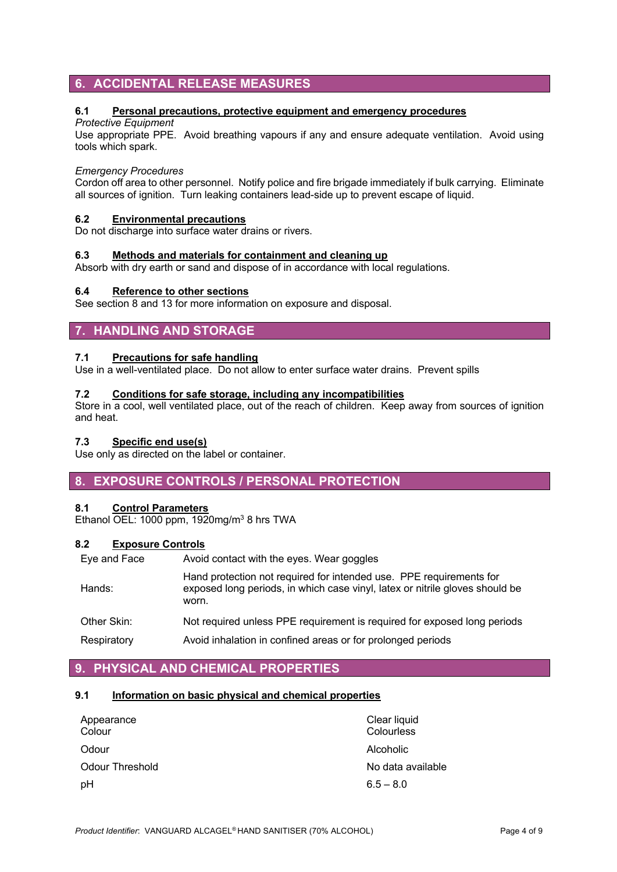# **6. ACCIDENTAL RELEASE MEASURES**

### **6.1 Personal precautions, protective equipment and emergency procedures**

### *Protective Equipment*

Use appropriate PPE. Avoid breathing vapours if any and ensure adequate ventilation. Avoid using tools which spark.

### *Emergency Procedures*

Cordon off area to other personnel. Notify police and fire brigade immediately if bulk carrying. Eliminate all sources of ignition. Turn leaking containers lead-side up to prevent escape of liquid.

### **6.2 Environmental precautions**

Do not discharge into surface water drains or rivers.

### **6.3 Methods and materials for containment and cleaning up**

Absorb with dry earth or sand and dispose of in accordance with local regulations.

### **6.4 Reference to other sections**

See section 8 and 13 for more information on exposure and disposal.

### **7. HANDLING AND STORAGE**

### **7.1 Precautions for safe handling**

Use in a well-ventilated place. Do not allow to enter surface water drains. Prevent spills

### **7.2 Conditions for safe storage, including any incompatibilities**

Store in a cool, well ventilated place, out of the reach of children. Keep away from sources of ignition and heat.

### **7.3 Specific end use(s)**

Use only as directed on the label or container.

### **8. EXPOSURE CONTROLS / PERSONAL PROTECTION**

### **8.1 Control Parameters**

Ethanol OEL: 1000 ppm, 1920mg/m<sup>3</sup> 8 hrs TWA

### **8.2 Exposure Controls**

Eye and Face Avoid contact with the eyes. Wear goggles

| Hands:      | Hand protection not required for intended use. PPE requirements for<br>exposed long periods, in which case vinyl, latex or nitrile gloves should be<br>worn. |
|-------------|--------------------------------------------------------------------------------------------------------------------------------------------------------------|
| Other Skin: | Not required unless PPE requirement is required for exposed long periods                                                                                     |
| Respiratory | Avoid inhalation in confined areas or for prolonged periods                                                                                                  |

### **9. PHYSICAL AND CHEMICAL PROPERTIES**

### **9.1 Information on basic physical and chemical properties**

| Appearance<br>Colour   | Clear liquid<br>Colourless |
|------------------------|----------------------------|
| Odour                  | Alcoholic                  |
| <b>Odour Threshold</b> | No data available          |
| pH                     | $6.5 - 8.0$                |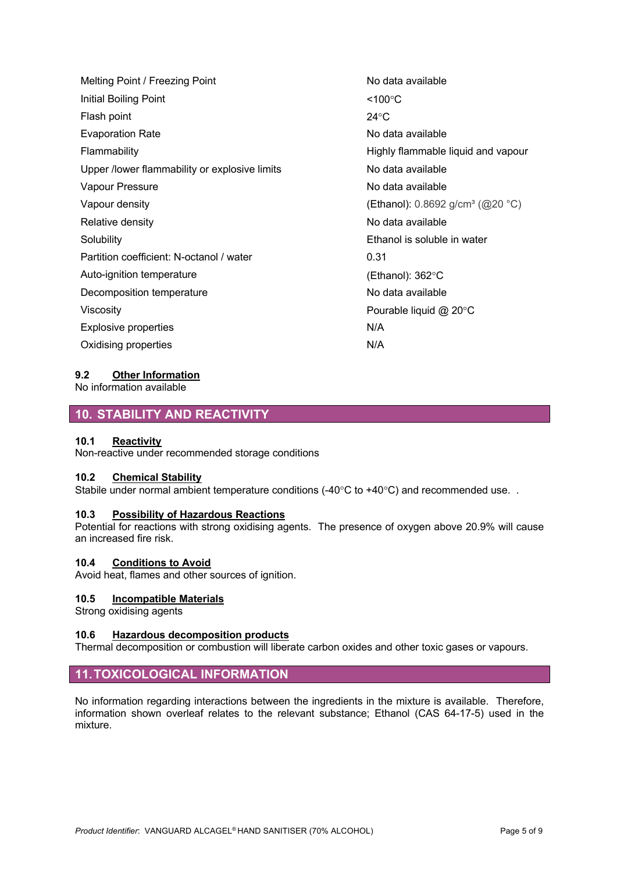| Melting Point / Freezing Point                | No data        |
|-----------------------------------------------|----------------|
| Initial Boiling Point                         | <100°C         |
| Flash point                                   | $24^{\circ}$ C |
| <b>Evaporation Rate</b>                       | No data        |
| Flammability                                  | Highly f       |
| Upper /lower flammability or explosive limits | No data        |
| Vapour Pressure                               | No data        |
| Vapour density                                | (Ethano        |
| Relative density                              | No data        |
| Solubility                                    | Ethanol        |
| Partition coefficient: N-octanol / water      | 0.31           |
| Auto-ignition temperature                     | (Ethano        |
| Decomposition temperature                     | No data        |
| Viscosity                                     | Pourab         |
| <b>Explosive properties</b>                   | N/A            |
| Oxidising properties                          | N/A            |
|                                               |                |

a available a available flammable liquid and vapour a available a available ol): 0.8692 g/cm<sup>3</sup> (@20 °C) a available I is soluble in water ol): 362°C a available  $\theta$ le liquid @ 20°C

### **9.2 Other Information**

No information available

### **10. STABILITY AND REACTIVITY**

### **10.1 Reactivity**

Non-reactive under recommended storage conditions

### **10.2 Chemical Stability**

Stabile under normal ambient temperature conditions (-40°C to +40°C) and recommended use. .

#### **10.3 Possibility of Hazardous Reactions**

Potential for reactions with strong oxidising agents. The presence of oxygen above 20.9% will cause an increased fire risk.

#### **10.4 Conditions to Avoid**

Avoid heat, flames and other sources of ignition.

#### **10.5 Incompatible Materials**

Strong oxidising agents

#### **10.6 Hazardous decomposition products**

Thermal decomposition or combustion will liberate carbon oxides and other toxic gases or vapours.

### **11.TOXICOLOGICAL INFORMATION**

No information regarding interactions between the ingredients in the mixture is available. Therefore, information shown overleaf relates to the relevant substance; Ethanol (CAS 64-17-5) used in the mixture.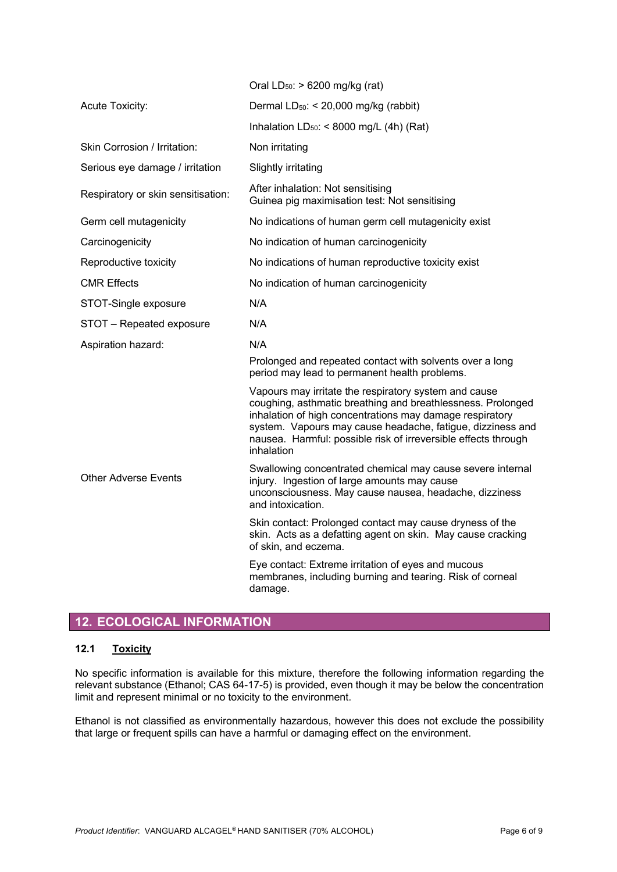|                                    | Oral $LD_{50}$ : > 6200 mg/kg (rat)                                                                                                                                                                                                                                                                                            |
|------------------------------------|--------------------------------------------------------------------------------------------------------------------------------------------------------------------------------------------------------------------------------------------------------------------------------------------------------------------------------|
| <b>Acute Toxicity:</b>             | Dermal $LD_{50}$ : < 20,000 mg/kg (rabbit)                                                                                                                                                                                                                                                                                     |
|                                    | Inhalation $LD_{50}$ : < 8000 mg/L (4h) (Rat)                                                                                                                                                                                                                                                                                  |
| Skin Corrosion / Irritation:       | Non irritating                                                                                                                                                                                                                                                                                                                 |
| Serious eye damage / irritation    | Slightly irritating                                                                                                                                                                                                                                                                                                            |
| Respiratory or skin sensitisation: | After inhalation: Not sensitising<br>Guinea pig maximisation test: Not sensitising                                                                                                                                                                                                                                             |
| Germ cell mutagenicity             | No indications of human germ cell mutagenicity exist                                                                                                                                                                                                                                                                           |
| Carcinogenicity                    | No indication of human carcinogenicity                                                                                                                                                                                                                                                                                         |
| Reproductive toxicity              | No indications of human reproductive toxicity exist                                                                                                                                                                                                                                                                            |
| <b>CMR Effects</b>                 | No indication of human carcinogenicity                                                                                                                                                                                                                                                                                         |
| STOT-Single exposure               | N/A                                                                                                                                                                                                                                                                                                                            |
| STOT - Repeated exposure           | N/A                                                                                                                                                                                                                                                                                                                            |
| Aspiration hazard:                 | N/A                                                                                                                                                                                                                                                                                                                            |
|                                    | Prolonged and repeated contact with solvents over a long<br>period may lead to permanent health problems.                                                                                                                                                                                                                      |
|                                    | Vapours may irritate the respiratory system and cause<br>coughing, asthmatic breathing and breathlessness. Prolonged<br>inhalation of high concentrations may damage respiratory<br>system. Vapours may cause headache, fatigue, dizziness and<br>nausea. Harmful: possible risk of irreversible effects through<br>inhalation |
| <b>Other Adverse Events</b>        | Swallowing concentrated chemical may cause severe internal<br>injury. Ingestion of large amounts may cause<br>unconsciousness. May cause nausea, headache, dizziness<br>and intoxication.                                                                                                                                      |
|                                    | Skin contact: Prolonged contact may cause dryness of the<br>skin. Acts as a defatting agent on skin. May cause cracking<br>of skin, and eczema.                                                                                                                                                                                |
|                                    | Eye contact: Extreme irritation of eyes and mucous<br>membranes, including burning and tearing. Risk of corneal<br>damage.                                                                                                                                                                                                     |
|                                    |                                                                                                                                                                                                                                                                                                                                |

# **12. ECOLOGICAL INFORMATION**

### **12.1 Toxicity**

No specific information is available for this mixture, therefore the following information regarding the relevant substance (Ethanol; CAS 64-17-5) is provided, even though it may be below the concentration limit and represent minimal or no toxicity to the environment.

Ethanol is not classified as environmentally hazardous, however this does not exclude the possibility that large or frequent spills can have a harmful or damaging effect on the environment.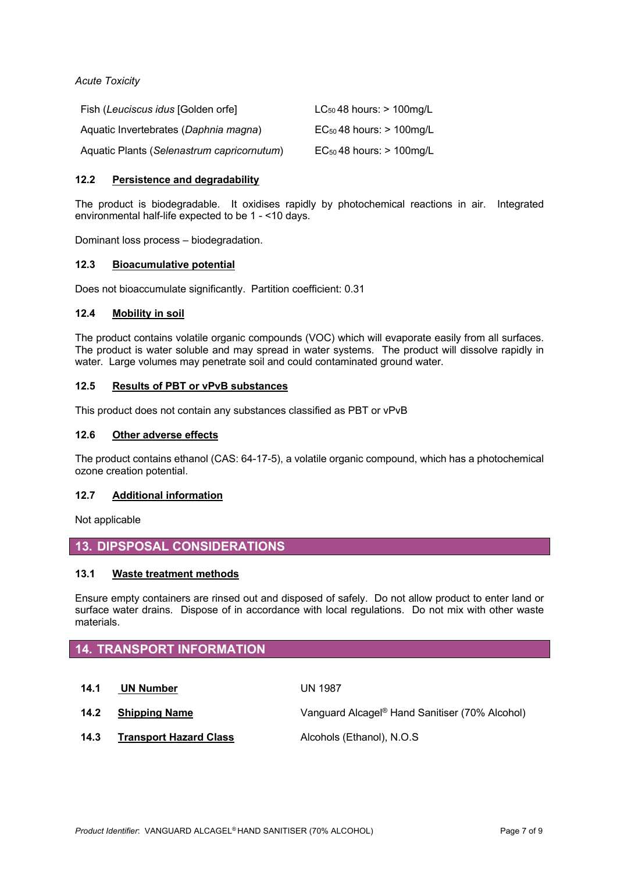*Acute Toxicity*

| Fish (Leuciscus idus [Golden orfe]         | $LC_{50}$ 48 hours: $> 100$ mg/L |
|--------------------------------------------|----------------------------------|
| Aquatic Invertebrates (Daphnia magna)      | $EC_{50}$ 48 hours: $> 100$ mg/L |
| Aquatic Plants (Selenastrum capricornutum) | $EC_{50}$ 48 hours: $> 100$ mg/L |

### **12.2 Persistence and degradability**

The product is biodegradable. It oxidises rapidly by photochemical reactions in air. Integrated environmental half-life expected to be 1 - <10 days.

Dominant loss process – biodegradation.

### **12.3 Bioacumulative potential**

Does not bioaccumulate significantly. Partition coefficient: 0.31

### **12.4 Mobility in soil**

The product contains volatile organic compounds (VOC) which will evaporate easily from all surfaces. The product is water soluble and may spread in water systems. The product will dissolve rapidly in water. Large volumes may penetrate soil and could contaminated ground water.

### **12.5 Results of PBT or vPvB substances**

This product does not contain any substances classified as PBT or vPvB

### **12.6 Other adverse effects**

The product contains ethanol (CAS: 64-17-5), a volatile organic compound, which has a photochemical ozone creation potential.

### **12.7 Additional information**

Not applicable

### **13. DIPSPOSAL CONSIDERATIONS**

### **13.1 Waste treatment methods**

Ensure empty containers are rinsed out and disposed of safely. Do not allow product to enter land or surface water drains. Dispose of in accordance with local regulations. Do not mix with other waste materials.

# **14. TRANSPORT INFORMATION**

**14.1 UN Number** UN 1987

**14.2 Shipping Name** Vanguard Alcagel® Hand Sanitiser (70% Alcohol)

14.3 **Transport Hazard Class** Alcohols (Ethanol), N.O.S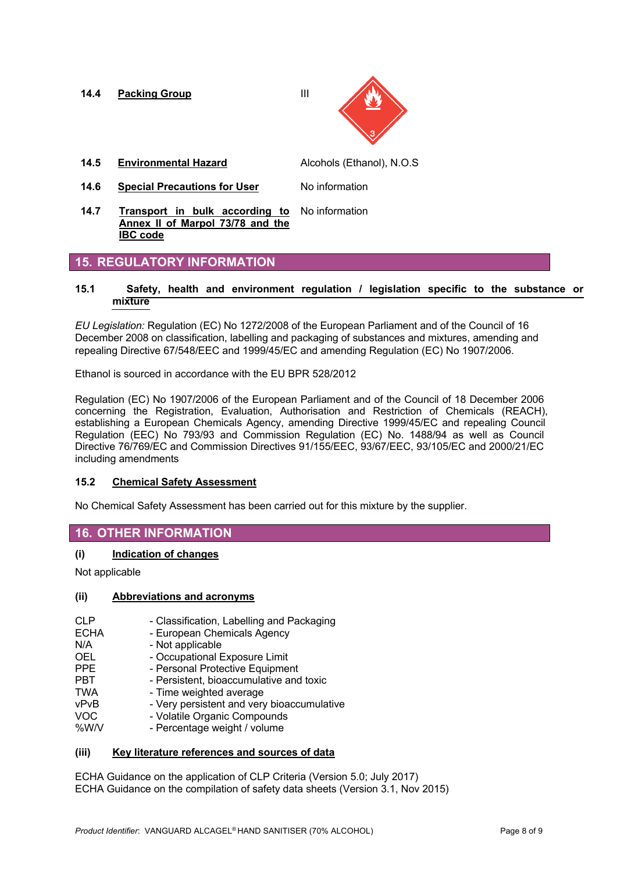**14.4 Packing Group III** 

- **14.5 Environmental Hazard** Alcohols (Ethanol), N.O.S
- **14.6 Special Precautions for User** No information
- **14.7 Transport in bulk according to**  No information **Annex II of Marpol 73/78 and the IBC code**

### **15. REGULATORY INFORMATION**

### **15.1 Safety, health and environment regulation / legislation specific to the substance or mixture**

*EU Legislation:* Regulation (EC) No 1272/2008 of the European Parliament and of the Council of 16 December 2008 on classification, labelling and packaging of substances and mixtures, amending and repealing Directive 67/548/EEC and 1999/45/EC and amending Regulation (EC) No 1907/2006.

Ethanol is sourced in accordance with the EU BPR 528/2012

Regulation (EC) No 1907/2006 of the European Parliament and of the Council of 18 December 2006 concerning the Registration, Evaluation, Authorisation and Restriction of Chemicals (REACH), establishing a European Chemicals Agency, amending Directive 1999/45/EC and repealing Council Regulation (EEC) No 793/93 and Commission Regulation (EC) No. 1488/94 as well as Council Directive 76/769/EC and Commission Directives 91/155/EEC, 93/67/EEC, 93/105/EC and 2000/21/EC including amendments

### **15.2 Chemical Safety Assessment**

No Chemical Safety Assessment has been carried out for this mixture by the supplier.

### **16. OTHER INFORMATION**

### **(i) Indication of changes**

Not applicable

#### **(ii) Abbreviations and acronyms**

- CLP Classification, Labelling and Packaging ECHA - European Chemicals Agency N/A - Not applicable OEL - Occupational Exposure Limit PPE - Personal Protective Equipment PBT - Persistent, bioaccumulative and toxic TWA - Time weighted average
- vPvB Very persistent and very bioaccumulative
- VOC Volatile Organic Compounds
- %W/V Percentage weight / volume

### **(iii) Key literature references and sources of data**

ECHA Guidance on the application of CLP Criteria (Version 5.0; July 2017) ECHA Guidance on the compilation of safety data sheets (Version 3.1, Nov 2015)